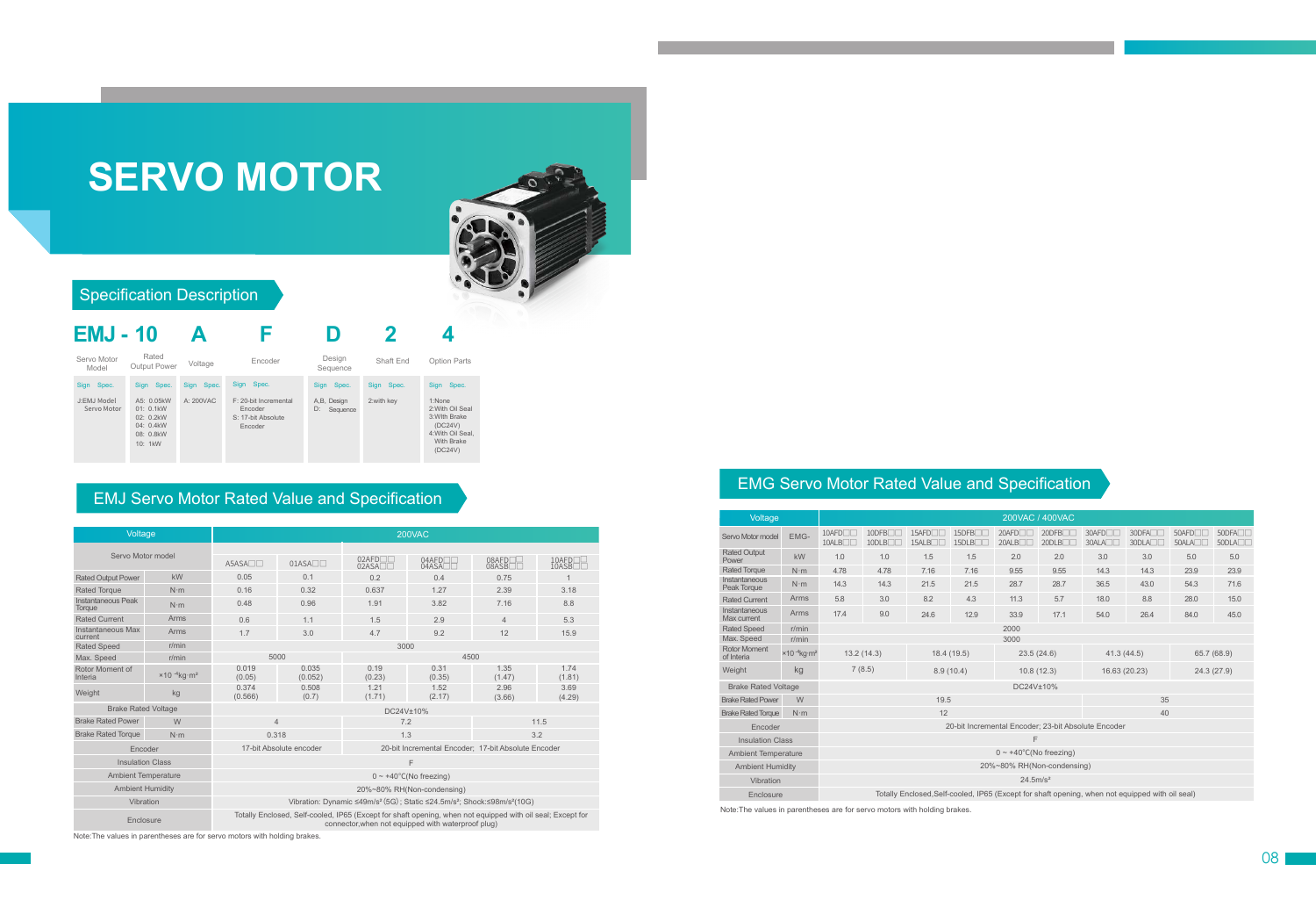# **SERVO MOTOR**



#### Specification Description



#### EMJ Servo Motor Rated Value and Specification

| Voltage                      |                                               | 200VAC                                                                                                                                                           |                  |                           |                |                 |                |  |  |  |  |  |  |  |
|------------------------------|-----------------------------------------------|------------------------------------------------------------------------------------------------------------------------------------------------------------------|------------------|---------------------------|----------------|-----------------|----------------|--|--|--|--|--|--|--|
| Servo Motor model            |                                               | $A5ASA\n0$                                                                                                                                                       | $01ASA\n$        | $02$ AFD $\neg$<br>02ASAT | $04$ AFD $-$   | 08AFD<br>08ASBL | 10AFD<br>10ASB |  |  |  |  |  |  |  |
| <b>Rated Output Power</b>    | kW                                            | 0.05                                                                                                                                                             | 0.1              | 0.2                       | 0.4            | 0.75            |                |  |  |  |  |  |  |  |
| <b>Rated Torque</b>          | $N \cdot m$                                   | 0.16                                                                                                                                                             | 0.32             | 0.637                     | 1.27           | 2.39            | 3.18           |  |  |  |  |  |  |  |
| Instantaneous Peak<br>Toraue | $N \cdot m$                                   | 0.48                                                                                                                                                             | 0.96             | 1.91                      | 3.82           | 7.16            | 8.8            |  |  |  |  |  |  |  |
| <b>Rated Current</b>         | Arms                                          | 0.6                                                                                                                                                              | 1.1              | 1.5                       | 2.9            | $\overline{4}$  | 5.3            |  |  |  |  |  |  |  |
| Instantaneous Max<br>current | Arms                                          | 1.7                                                                                                                                                              | 3.0              | 4.7                       | 9.2            | 12              | 15.9           |  |  |  |  |  |  |  |
| <b>Rated Speed</b>           | r/min                                         | 3000                                                                                                                                                             |                  |                           |                |                 |                |  |  |  |  |  |  |  |
| Max. Speed                   | r/min                                         | 5000                                                                                                                                                             |                  |                           | 4500           |                 |                |  |  |  |  |  |  |  |
| Rotor Moment of<br>Interia   | $\times$ 10 $^{-4}$ ka $\cdot$ m <sup>2</sup> | 0.019<br>(0.05)                                                                                                                                                  | 0.035<br>(0.052) | 0.19<br>(0.23)            | 0.31<br>(0.35) | 1.35<br>(1.47)  | 1.74<br>(1.81) |  |  |  |  |  |  |  |
| Weight                       | kg                                            | 0.374<br>(0.566)                                                                                                                                                 | 0.508<br>(0.7)   | 1.21<br>(1.71)            | 1.52<br>(2.17) | 2.96<br>(3.66)  | 3.69<br>(4.29) |  |  |  |  |  |  |  |
| <b>Brake Rated Voltage</b>   |                                               | DC24V±10%                                                                                                                                                        |                  |                           |                |                 |                |  |  |  |  |  |  |  |
| <b>Brake Rated Power</b>     | W                                             | $\overline{4}$                                                                                                                                                   |                  | 7.2                       |                | 11.5            |                |  |  |  |  |  |  |  |
| <b>Brake Rated Torque</b>    | $N \cdot m$                                   | 0.318                                                                                                                                                            |                  | 1.3                       |                | 3.2             |                |  |  |  |  |  |  |  |
| Encoder                      |                                               | 17-bit Absolute encoder<br>20-bit Incremental Encoder; 17-bit Absolute Encoder                                                                                   |                  |                           |                |                 |                |  |  |  |  |  |  |  |
| <b>Insulation Class</b>      |                                               | F                                                                                                                                                                |                  |                           |                |                 |                |  |  |  |  |  |  |  |
| <b>Ambient Temperature</b>   |                                               | $0 \sim +40^{\circ}$ C(No freezing)                                                                                                                              |                  |                           |                |                 |                |  |  |  |  |  |  |  |
| <b>Ambient Humidity</b>      |                                               | 20%~80% RH(Non-condensing)                                                                                                                                       |                  |                           |                |                 |                |  |  |  |  |  |  |  |
| Vibration                    |                                               | Vibration: Dynamic ≤49m/s <sup>2</sup> (5G); Static ≤24.5m/s <sup>2</sup> ; Shock:≤98m/s <sup>2</sup> (10G)                                                      |                  |                           |                |                 |                |  |  |  |  |  |  |  |
| Enclosure                    |                                               | Totally Enclosed, Self-cooled, IP65 (Except for shaft opening, when not equipped with oil seal; Except for<br>connector, when not equipped with waterproof plug) |                  |                           |                |                 |                |  |  |  |  |  |  |  |

Note:The values in parentheses are for servo motors with holding brakes.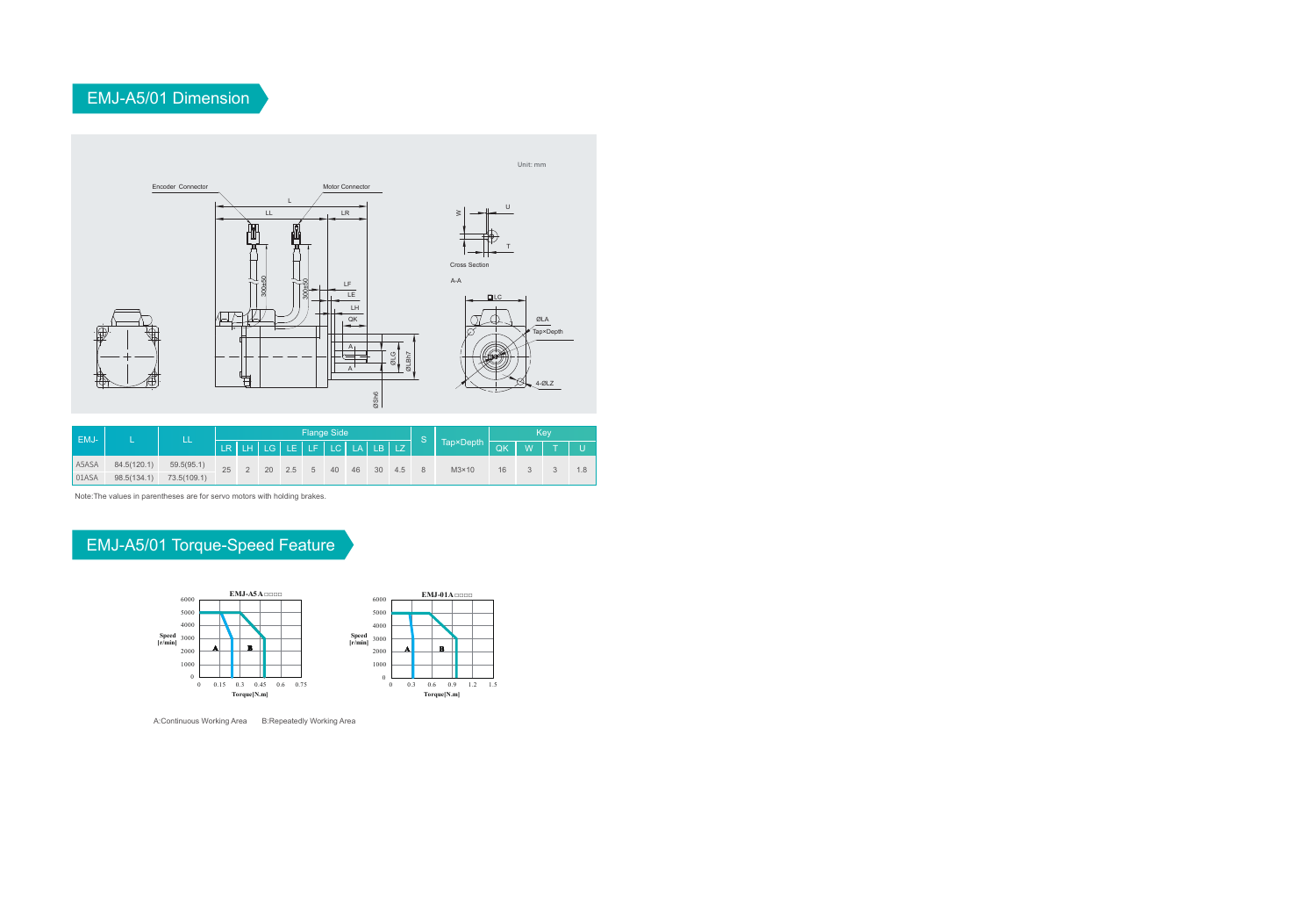## EMJ-A5/01 Dimension



|       | EMJ-        |             | <b>Flange Side</b> |  |                                      |     |    |    |    |    |     |  |              | Kev |              |              |  |  |
|-------|-------------|-------------|--------------------|--|--------------------------------------|-----|----|----|----|----|-----|--|--------------|-----|--------------|--------------|--|--|
|       |             |             |                    |  | $LR L H L G L E L F L C L A L B L Z$ |     |    |    |    |    |     |  |              |     | $\mathsf{w}$ | $\mathbf{T}$ |  |  |
| A5ASA | 84.5(120.1) | 59.5(95.1)  | 25                 |  | 20                                   | 2.5 | -5 | 40 | 46 | 30 | 4.5 |  | $M3\times10$ | 16  |              |              |  |  |
| 01ASA | 98.5(134.1) | 73.5(109.1) |                    |  |                                      |     |    |    |    |    |     |  |              |     |              |              |  |  |

Note:The values in parentheses are for servo motors with holding brakes.

# EMJ-A5/01 Torque-Speed Feature



A:Continuous Working Area B:Repeatedly Working Area